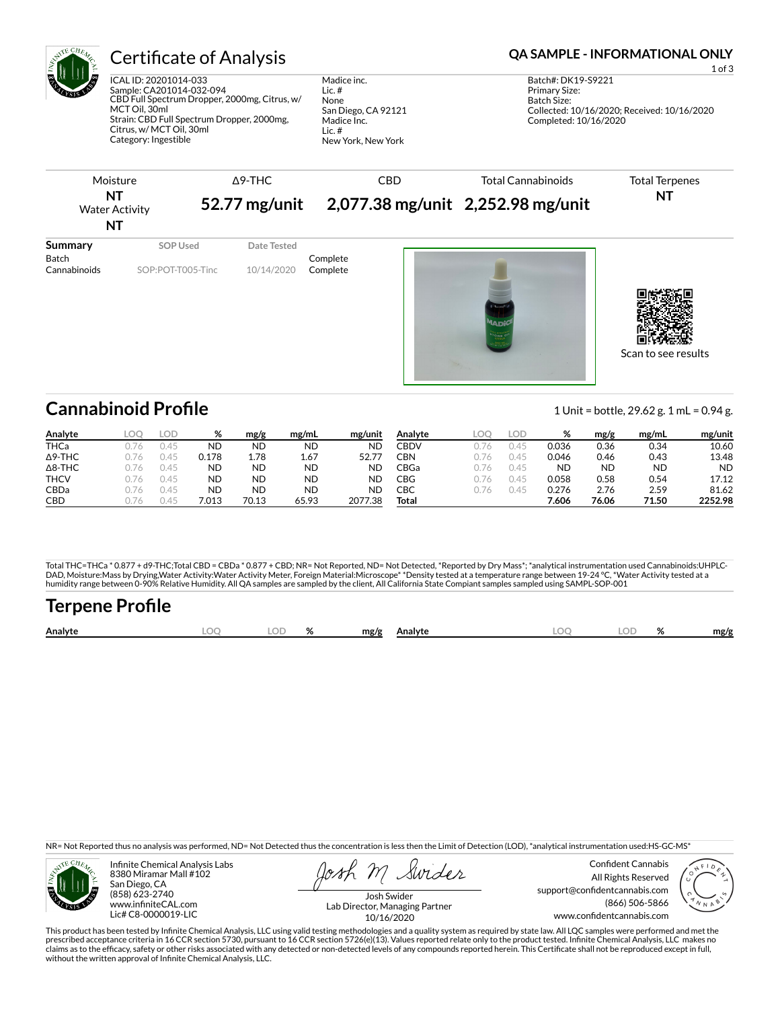

## Certificate of Analysis **Certificate of Analysis QA SAMPLE - INFORMATIONAL ONLY**

ICAL ID: 20201014-033 Sample: CA201014-032-094 CBD Full Spectrum Dropper, 2000mg, Citrus, w/ MCT Oil, 30ml Strain: CBD Full Spectrum Dropper, 2000mg, Citrus, w/ MCT Oil, 30ml Category: Ingestible

Madice inc. Lic. # None San Diego, CA 92121 Madice Inc. Lic. # New York, New York

| Moisture<br>NT<br><b>Water Activity</b> |                               | $\Delta$ 9-THC            |                      |  | <b>Total Cannabinoids</b><br>52.77 mg/unit 2,077.38 mg/unit 2,252.98 mg/unit | <b>Total Terpenes</b><br>NT |
|-----------------------------------------|-------------------------------|---------------------------|----------------------|--|------------------------------------------------------------------------------|-----------------------------|
| ΝT                                      |                               |                           |                      |  |                                                                              |                             |
| Summary<br>Batch<br>Cannabinoids        | SOP Used<br>SOP:POT-T005-Tinc | Date Tested<br>10/14/2020 | Complete<br>Complete |  | $\sim$<br><b>MADI</b><br><sup>1934</sup> EDECTF<br>ONE<br>Citature           |                             |

Scan to see results

## **Cannabinoid Profile** 1 Unit = bottle, 29.62 g. 1 mL = 0.94 g.

**Analyte LOQ LOD % mg/g mg/mL mg/unit** THCa 0.76 0.45 ND ND ND ND Δ9-THC 0.76 0.45 0.178 1.78 1.67 52.77 Δ8-THC 0.76 0.45 ND ND ND ND **THCV** 0.76 0.45 **ND ND ND ND** CBDa 0.76 0.45 ND ND ND ND CBD 0.76 0.45 7.013 70.13 65.93 2077.38 **Analyte LOQ LOD % mg/g mg/mL mg/unit** CBDV 0.76 0.45 0.036 0.36 0.34 10.60 CBN 0.76 0.45 0.046 0.46 0.43 13.48 CBGa 0.76 0.45 ND ND ND ND CBG 0.76 0.45 0.058 0.58 0.54 17.12 CBC 0.76 0.45 0.276 2.76 2.59 81.62 **Total 7.606 76.06 71.50 2252.98**

Total THC=THCa \* 0.877 + d9-THC;Total CBD = CBDa \* 0.877 + CBD; NR= Not Reported, ND= Not Detected, \*Reported by Dry Mass\*; \*analytical instrumentation used Cannabinoids:UHPLC-DAD, Moisture:Mass by Drying,Water Activity:Water Activity Meter, Foreign Material:Microscope\* \*Density tested at a temperature range between 19-24 °C, \*Water Activity tested at a<br>humidity range between 0-90% Relative Humi

# Terpene Profile

| $\sim$<br>Analyte | ΩΓ<br>b- | " | mg/g<br>Analyte |  | $\Omega$ | mg/g |
|-------------------|----------|---|-----------------|--|----------|------|
|                   |          |   |                 |  |          |      |

NR= Not Reported thus no analysis was performed, ND= Not Detected thus the concentration is less then the Limit of Detection (LOD), \*analytical instrumentation used:HS-GC-MS\*



Infinite Chemical Analysis Labs 8380 Miramar Mall #102 San Diego, CA (858) 623-2740 www.infiniteCAL.com Lic# C8-0000019-LIC

Swider

Confident Cannabis All Rights Reserved support@confidentcannabis.com (866) 506-5866 www.confidentcannabis.com



Josh Swider Lab Director, Managing Partner 10/16/2020

This product has been tested by Infinite Chemical Analysis, LLC using valid testing methodologies and a quality system as required by state law. All LQC samples were performed and met the prescribed acceptance criteria in 16 CCR section 5730, pursuant to 16 CCR section 5726(e)(13). Values reported relate only to the product tested. Infinite Chemical Analysis, LLC makes no<br>claims as to the efficacy, safety o without the written approval of Infinite Chemical Analysis, LLC.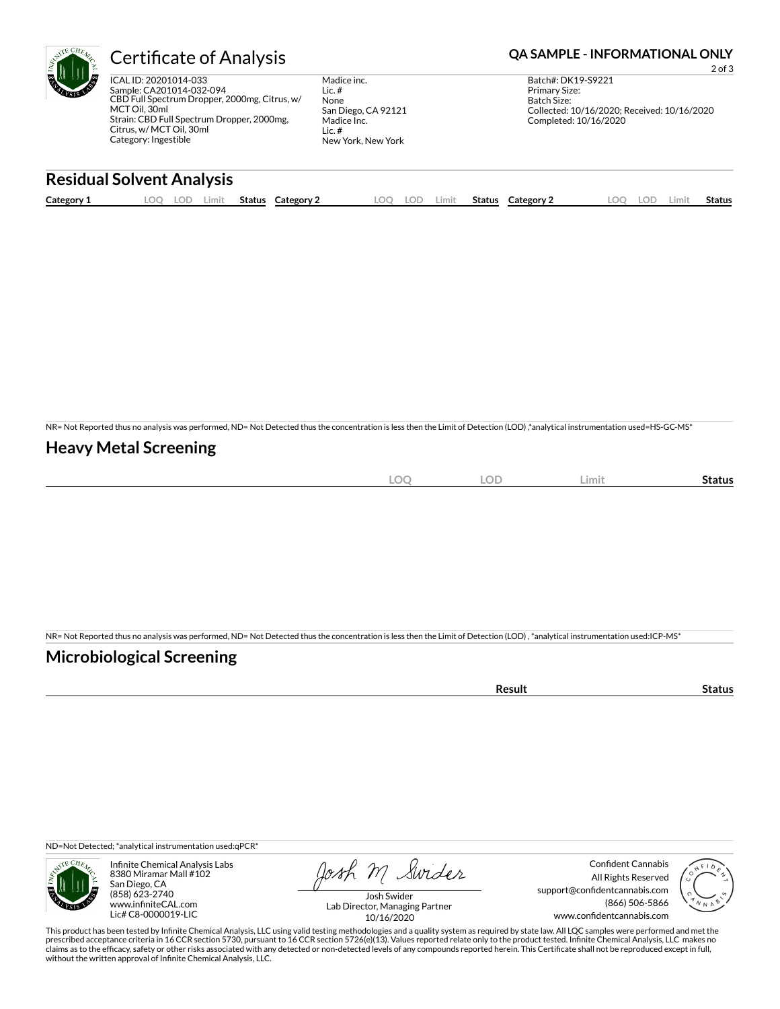

## Certificate of Analysis **Certificate of Analysis QA SAMPLE - INFORMATIONAL ONLY**

ICAL ID: 20201014-033 Sample: CA201014-032-094 CBD Full Spectrum Dropper, 2000mg, Citrus, w/ MCT Oil, 30ml Strain: CBD Full Spectrum Dropper, 2000mg, Citrus, w/ MCT Oil, 30ml Category: Ingestible

Madice inc. Lic. # None San Diego, CA 92121 Madice Inc. Lic. # New York, New York

2 of 3 Batch#: DK19-S9221 Primary Size: Batch Size: Collected: 10/16/2020; Received: 10/16/2020 Completed: 10/16/2020

### **Residual Solvent Analysis**

| Category 1 | $\sim$ $\sim$<br><u>.</u> | J. | Limit | <b>Status</b> | Category | LOO | LOD | .imit | <b>Status</b> | Category 2 | $\Omega$ | LOD. | .imi | Status |
|------------|---------------------------|----|-------|---------------|----------|-----|-----|-------|---------------|------------|----------|------|------|--------|
|            |                           |    |       |               |          |     |     |       |               |            |          |      |      |        |

NR= Not Reported thus no analysis was performed, ND= Not Detected thus the concentration is less then the Limit of Detection (LOD) ,\*analytical instrumentation used=HS-GC-MS\*

### **Heavy Metal Screening**

| $\sim$<br>$-$<br>$\sim$<br>$\sim$ | $\cap$<br>LUD | ∠imit∶ | Status |
|-----------------------------------|---------------|--------|--------|
|                                   |               |        |        |

NR= Not Reported thus no analysis was performed, ND= Not Detected thus the concentration is less then the Limit of Detection (LOD) , \*analytical instrumentation used:ICP-MS\*

### **Microbiological Screening**

| ` sult ∴ |  |
|----------|--|
|          |  |

ND=Not Detected; \*analytical instrumentation used:qPCR\*



Infinite Chemical Analysis Labs 8380 Miramar Mall #102 San Diego, CA (858) 623-2740 www.infiniteCAL.com Lic# C8-0000019-LIC

Josh M Swider

Confident Cannabis All Rights Reserved support@confidentcannabis.com (866) 506-5866 www.confidentcannabis.com



Josh Swider Lab Director, Managing Partner 10/16/2020

This product has been tested by Infinite Chemical Analysis, LLC using valid testing methodologies and a quality system as required by state law. All LQC samples were performed and met the prescribed acceptance criteria in 16 CCR section 5730, pursuant to 16 CCR section 5726(e)(13). Values reported relate only to the product tested. Infinite Chemical Analysis, LLC makes no<br>claims as to the efficacy, safety o without the written approval of Infinite Chemical Analysis, LLC.